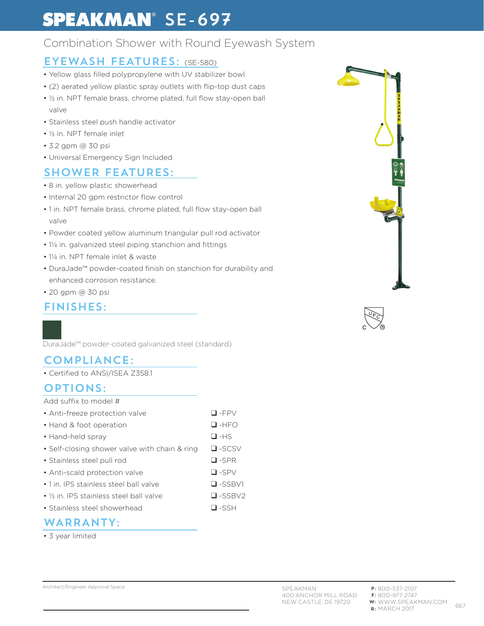# **SPEAKMAN**<sup>®</sup> SE-697

## Combination Shower with Round Eyewash System

### EYEWASH FEATURES: (SE-580)

- Yellow glass filled polypropylene with UV stabilizer bowl
- (2) aerated yellow plastic spray outlets with flip-top dust caps
- ½ in. NPT female brass, chrome plated, full flow stay-open ball valve
- Stainless steel push handle activator
- ½ in. NPT female inlet
- 3.2 gpm @ 30 psi
- Universal Emergency Sign Included

## SHOWER FEATURES:

- 8 in. yellow plastic showerhead
- Internal 20 gpm restrictor flow control
- 1 in. NPT female brass, chrome plated, full flow stay-open ball valve
- Powder coated yellow aluminum triangular pull rod activator
- 1¼ in. galvanized steel piping stanchion and fittings
- 1¼ in. NPT female inlet & waste
- DuraJade™ powder-coated finish on stanchion for durability and enhanced corrosion resistance.
- 20 gpm @ 30 psi

### FINISHES:

DuraJade™ powder-coated galvanized steel (standard)

## COMPLIANCE:

• Certified to ANSI/ISEA Z358.1

#### OPTIONS:

| Add suffix to model #                                |               |
|------------------------------------------------------|---------------|
| • Anti-freeze protection valve                       | $\Box$ -FPV   |
| • Hand & foot operation                              | $\Box$ -HFO   |
| • Hand-held spray                                    | $\Box$ -HS    |
| • Self-closing shower valve with chain & ring        | $\Box$ -SCSV  |
| • Stainless steel pull rod                           | $\Box$ -SPR   |
| • Anti-scald protection valve                        | $\Box$ -SPV   |
| • 1 in. IPS stainless steel ball valve               | $\Box$ -SSBV1 |
| • 1/ <sub>2</sub> in. IPS stainless steel ball valve | $\Box$ -SSBV2 |
| • Stainless steel showerhead                         | $\Box$ -SSH   |

#### WARRANTY:

• 3 year limited



Architect/Engineer Approval Space: